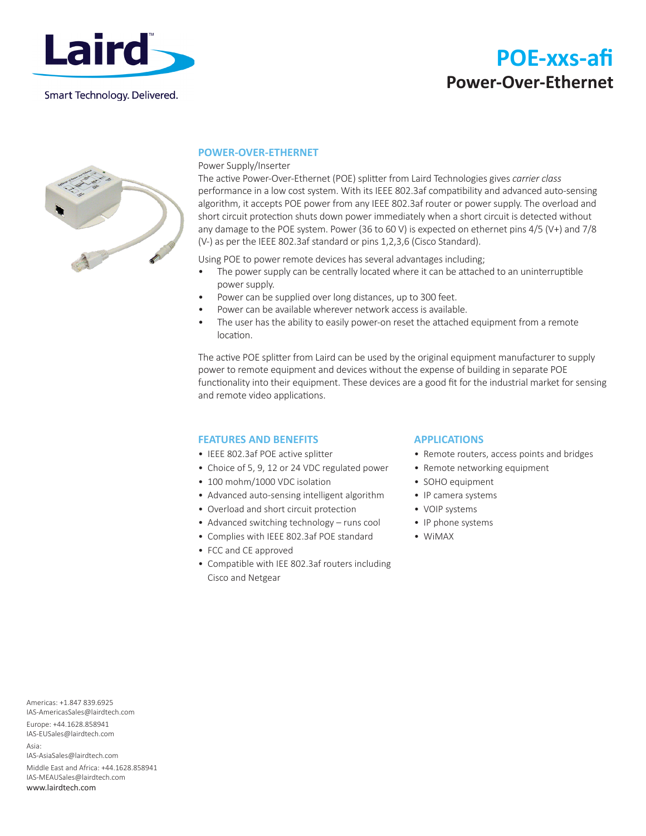

Smart Technology. Delivered.

# **POE-xxs-afi Power-Over-Ethernet**



### **POWER-OVER-ETHERNET**

#### Power Supply/Inserter

The active Power-Over-Ethernet (POE) splitter from Laird Technologies gives *carrier class* performance in a low cost system. With its IEEE 802.3af compatibility and advanced auto-sensing algorithm, it accepts POE power from any IEEE 802.3af router or power supply. The overload and short circuit protection shuts down power immediately when a short circuit is detected without any damage to the POE system. Power (36 to 60 V) is expected on ethernet pins 4/5 (V+) and 7/8 (V-) as per the IEEE 802.3af standard or pins 1,2,3,6 (Cisco Standard).

Using POE to power remote devices has several advantages including;

- The power supply can be centrally located where it can be attached to an uninterruptible power supply.
- Power can be supplied over long distances, up to 300 feet.
- Power can be available wherever network access is available.
- The user has the ability to easily power-on reset the attached equipment from a remote location.

The active POE splitter from Laird can be used by the original equipment manufacturer to supply power to remote equipment and devices without the expense of building in separate POE functionality into their equipment. These devices are a good fit for the industrial market for sensing and remote video applications.

### **FEATURES AND BENEFITS**

- IEEE 802.3af POE active splitter
- Choice of 5, 9, 12 or 24 VDC regulated power
- 100 mohm/1000 VDC isolation
- Advanced auto-sensing intelligent algorithm
- Overload and short circuit protection
- Advanced switching technology runs cool
- Complies with IEEE 802.3af POE standard
- FCC and CE approved
- Compatible with IEE 802.3af routers including Cisco and Netgear

### **APPLICATIONS**

- Remote routers, access points and bridges
- Remote networking equipment
- SOHO equipment
- IP camera systems
- VOIP systems
- IP phone systems
- WiMAX

Americas: +1.847 839.6925 IAS-AmericasSales@lairdtech.com Europe: +44.1628.858941 IAS-EUSales@lairdtech.com Asia: IAS-AsiaSales@lairdtech.com Middle East and Africa: +44.1628.858941 IAS-MEAUSales@lairdtech.com www.lairdtech.com